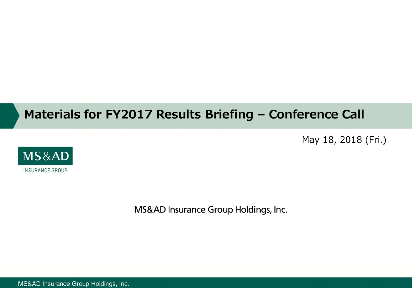# **Materials for FY2017 Results Briefing – Conference Call**

May 18, 2018 (Fri.)



MS&AD Insurance Group Holdings, Inc.

MS&AD Insurance Group Holdings, Inc.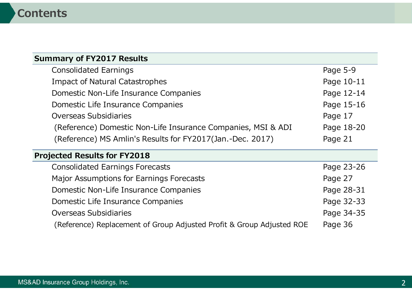### **Summary of FY2017 Results**

| <b>Consolidated Earnings</b>                                 | Page 5-9   |
|--------------------------------------------------------------|------------|
| <b>Impact of Natural Catastrophes</b>                        | Page 10-11 |
| Domestic Non-Life Insurance Companies                        | Page 12-14 |
| Domestic Life Insurance Companies                            | Page 15-16 |
| <b>Overseas Subsidiaries</b>                                 | Page 17    |
| (Reference) Domestic Non-Life Insurance Companies, MSI & ADI | Page 18-20 |
| (Reference) MS Amlin's Results for FY2017(Jan.-Dec. 2017)    | Page 21    |
| <b>Projected Results for FY2018</b>                          |            |
| <b>Consolidated Earnings Forecasts</b>                       | Page 23-26 |
| Major Assumptions for Earnings Forecasts                     | Page 27    |
| Domestic Non-Life Insurance Companies                        | Page 28-31 |

Domestic Life Insurance Companies **Page 32-33** Page 32-33 Overseas Subsidiaries **Page 34-35** 

(Reference) Replacement of Group Adjusted Profit & Group Adjusted ROE Page 36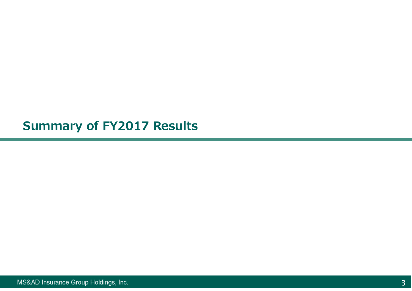**Summary of FY2017 Results**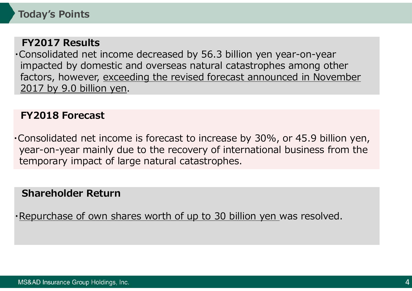### **FY2017 Results**

・Consolidated net income decreased by 56.3 billion yen year-on-year impacted by domestic and overseas natural catastrophes among other factors, however, exceeding the revised forecast announced in November 2017 by 9.0 billion yen.

## **FY2018 Forecast**

・Consolidated net income is forecast to increase by 30%, or 45.9 billion yen, year-on-year mainly due to the recovery of international business from the temporary impact of large natural catastrophes.

### **Shareholder Return**

・Repurchase of own shares worth of up to 30 billion yen was resolved.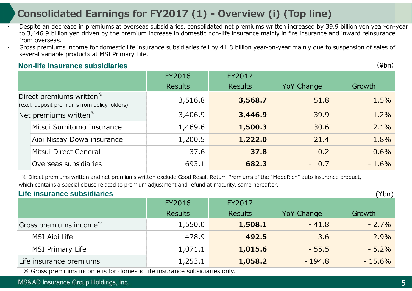# **Consolidated Earnings for FY2017 (1) - Overview (i) (Top line)**

- • Despite an decrease in premiums at overseas subsidiaries, consolidated net premiums written increased by 39.9 billion yen year-on-year to 3,446.9 billion yen driven by the premium increase in domestic non-life insurance mainly in fire insurance and inward reinsurance from overseas.
	- Gross premiums income for domestic life insurance subsidiaries fell by 41.8 billion year-on-year mainly due to suspension of sales of several variable products at MSI Primary Life.

#### **Non-life insurance subsidiaries**

•

FY2016 FY2017 Results Results Results Results Results Results Results Results 3,516.8 **3,568.7** 51.8 1.5% 3,406.9 **3,446.9** 39.9 1.2% Mitsui Sumitomo Insurance 1,469.6 **1,500.3** 30.6 2.1% Aioi Nissay Dowa insurance 1,200.5 **1,222.0** 21.4 1.8% Mitsui Direct General 37.6 **37.8** 0.2 0.6% Overseas subsidiaries 693.1 **682.3** - 10.7 - 1.6% Direct premiums written※ (excl. deposit premiums from policyholders) Net premiums written<sup>※</sup>

 ※ Direct premiums written and net premiums written exclude Good Result Return Premiums of the "ModoRich" auto insurance product, which contains a special clause related to premium adjustment and refund at maturity, same hereafter.

| Life insurance subsidiaries                                               |                |                |                   |          |  |  |  |  |
|---------------------------------------------------------------------------|----------------|----------------|-------------------|----------|--|--|--|--|
|                                                                           | <b>FY2016</b>  | FY2017         |                   |          |  |  |  |  |
|                                                                           | <b>Results</b> | <b>Results</b> | <b>YoY Change</b> | Growth   |  |  |  |  |
| Gross premiums income <sup>*</sup>                                        | 1,550.0        | 1,508.1        | $-41.8$           | $-2.7%$  |  |  |  |  |
| MSI Aioi Life                                                             | 478.9          | 492.5          | 13.6              | 2.9%     |  |  |  |  |
| <b>MSI Primary Life</b>                                                   | 1,071.1        | 1,015.6        | $-55.5$           | $-5.2%$  |  |  |  |  |
| Life insurance premiums                                                   | 1,253.1        | 1,058.2        | $-194.8$          | $-15.6%$ |  |  |  |  |
| * Gross premiums income is for domestic life insurance subsidiaries only. |                |                |                   |          |  |  |  |  |

MS&AD Insurance Group Holdings, Inc.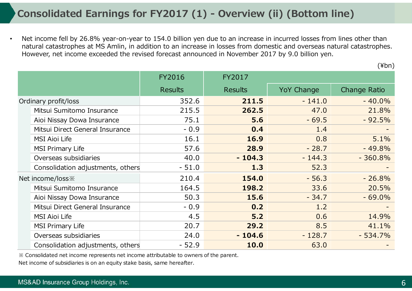• Net income fell by 26.8% year-on-year to 154.0 billion yen due to an increase in incurred losses from lines other than natural catastrophes at MS Amlin, in addition to an increase in losses from domestic and overseas natural catastrophes. However, net income exceeded the revised forecast announced in November 2017 by 9.0 billion yen.

|                                                 |                                   | <b>FY2016</b>  | FY2017         |                   |              |
|-------------------------------------------------|-----------------------------------|----------------|----------------|-------------------|--------------|
|                                                 |                                   | <b>Results</b> | <b>Results</b> | <b>YoY Change</b> | Change Ratio |
| Ordinary profit/loss                            |                                   | 352.6          | 211.5          | $-141.0$          | $-40.0\%$    |
|                                                 | Mitsui Sumitomo Insurance         | 215.5          | 262.5          | 47.0              | 21.8%        |
|                                                 | Aioi Nissay Dowa Insurance        | 75.1           | 5.6            | $-69.5$           | $-92.5%$     |
|                                                 | Mitsui Direct General Insurance   | $-0.9$         | 0.4            | 1.4               |              |
| <b>MSI Aioi Life</b><br><b>MSI Primary Life</b> |                                   | 16.1           | 16.9           | 0.8               | 5.1%         |
|                                                 |                                   | 57.6           | 28.9           | $-28.7$           | $-49.8%$     |
|                                                 | Overseas subsidiaries             | 40.0           | $-104.3$       | $-144.3$          | $-360.8%$    |
|                                                 | Consolidation adjustments, others | $-51.0$        | 1.3            | 52.3              |              |
|                                                 | Net income/loss *                 | 210.4          | 154.0          | $-56.3$           | $-26.8%$     |
|                                                 | Mitsui Sumitomo Insurance         | 164.5          | 198.2          | 33.6              | 20.5%        |
|                                                 | Aioi Nissay Dowa Insurance        | 50.3           | 15.6           | $-34.7$           | $-69.0%$     |
|                                                 | Mitsui Direct General Insurance   | $-0.9$         | 0.2            | 1.2               |              |
|                                                 | <b>MSI Aioi Life</b>              | 4.5            | 5.2            | 0.6               | 14.9%        |
|                                                 | <b>MSI Primary Life</b>           | 20.7           | 29.2           | 8.5               | 41.1%        |
|                                                 | Overseas subsidiaries             | 24.0           | $-104.6$       | $-128.7$          | $-534.7%$    |
|                                                 | Consolidation adjustments, others | $-52.9$        | 10.0           | 63.0              |              |

※ Consolidated net income represents net income attributable to owners of the parent.

Net income of subsidiaries is on an equity stake basis, same hereafter.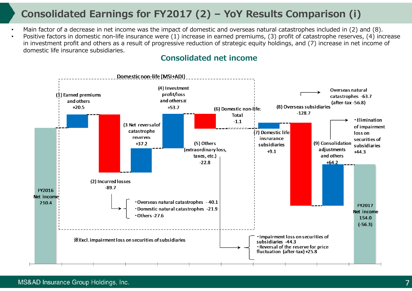# **Consolidated Earnings for FY2017 (2) – YoY Results Comparison (i )**

- •Main factor of a decrease in net income was the impact of domestic and overseas natural catastrophes included in (2) and (8).
- • Positive factors in domestic non-life insurance were (1) increase in earned premiums, (3) profit of catastrophe reserves, (4) increase in investment profit and others as a result of progressive reduction of strategic equity holdings, and (7) increase in net income of domestic life insurance subsidiaries.

### **Consolidated net income**

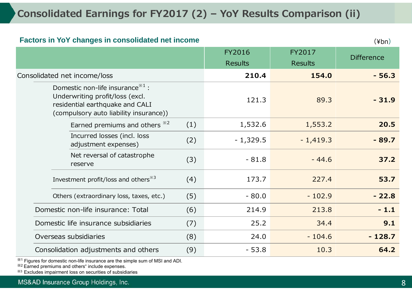# **Consolidated Earnings for FY2017 (2) – YoY Results Comparison (ii)**

#### **Factors in YoY changes in consolidated net income**

 $(\angle$ hn)

|                                                                                                                                                       | FY2016         | FY2017         | <b>Difference</b> |
|-------------------------------------------------------------------------------------------------------------------------------------------------------|----------------|----------------|-------------------|
|                                                                                                                                                       | <b>Results</b> | <b>Results</b> |                   |
| Consolidated net income/loss                                                                                                                          | 210.4          | 154.0          | $-56.3$           |
| Domestic non-life insurance $^{*1}$ :<br>Underwriting profit/loss (excl.<br>residential earthquake and CALI<br>(compulsory auto liability insurance)) | 121.3          | 89.3           | $-31.9$           |
| (1)<br>Earned premiums and others $*^{2}$                                                                                                             | 1,532.6        | 1,553.2        | 20.5              |
| Incurred losses (incl. loss<br>(2)<br>adjustment expenses)                                                                                            | $-1,329.5$     | $-1,419.3$     | $-89.7$           |
| Net reversal of catastrophe<br>(3)<br>reserve                                                                                                         | $-81.8$        | $-44.6$        | 37.2              |
| Investment profit/loss and others <sup>*3</sup><br>(4)                                                                                                | 173.7          | 227.4          | 53.7              |
| Others (extraordinary loss, taxes, etc.)<br>(5)                                                                                                       | $-80.0$        | $-102.9$       | $-22.8$           |
| (6)<br>Domestic non-life insurance: Total                                                                                                             | 214.9          | 213.8          | $-1.1$            |
| Domestic life insurance subsidiaries<br>(7)                                                                                                           | 25.2           | 34.4           | 9.1               |
| (8)<br>Overseas subsidiaries                                                                                                                          | 24.0           | $-104.6$       | $-128.7$          |
| Consolidation adjustments and others<br>(9)                                                                                                           | $-53.8$        | 10.3           | 64.2              |

 $*1$  Figures for domestic non-life insurance are the simple sum of MSI and ADI.

 $*2$  Earned premiums and others" include expenses.

※3 Excludes impairment loss on securities of subsidiaries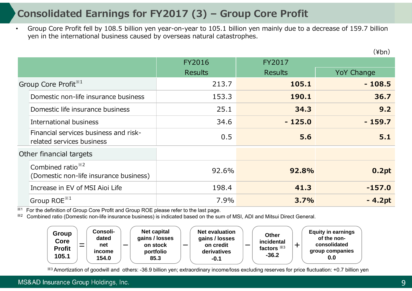# **Consolidated Earnings for FY2017 (3) – Group Core Profit**

• Group Core Profit fell by 108.5 billion yen year-on-year to 105.1 billion yen mainly due to a decrease of 159.7 billion yen in the international business caused by overseas natural catastrophes.

|                                                                         | <b>FY2016</b>  | FY2017         |                   |
|-------------------------------------------------------------------------|----------------|----------------|-------------------|
|                                                                         | <b>Results</b> | <b>Results</b> | <b>YoY Change</b> |
| Group Core Profit <sup>*1</sup>                                         | 213.7          | 105.1          | $-108.5$          |
| Domestic non-life insurance business                                    | 153.3          | 190.1          | 36.7              |
| Domestic life insurance business                                        | 25.1           | 34.3           | 9.2               |
| International business                                                  | 34.6           | $-125.0$       | $-159.7$          |
| Financial services business and risk-<br>related services business      | 0.5            | 5.6            | 5.1               |
| Other financial targets                                                 |                |                |                   |
| Combined ratio <sup>**2</sup><br>(Domestic non-life insurance business) | 92.6%          | 92.8%          | 0.2pt             |
| Increase in EV of MSI Aioi Life                                         | 198.4          | 41.3           | $-157.0$          |
| Group ROE $^{*1}$                                                       | 7.9%           | 3.7%           | $-4.2pt$          |

※1For the definition of Group Core Profit and Group ROE please refer to the last page.

※2Combined ratio (Domestic non-life insurance business) is indicated based on the sum of MSI, ADI and Mitsui Direct General.



※3 Amortization of goodwill and others: -36.9 billion yen; extraordinary income/loss excluding reserves for price fluctuation: +0.7 billion yen

#### MS&AD Insurance Group Holdings, Inc.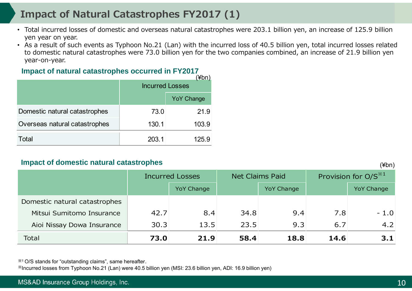# **Impact of Natural Catastrophes FY2017 (1)**

- Total incurred losses of domestic and overseas natural catastrophes were 203.1 billion yen, an increase of 125.9 billion yen year on year.
- As a result of such events as Typhoon No.21 (Lan) with the incurred loss of 40.5 billion yen, total incurred losses related to domestic natural catastrophes were 73.0 billion yen for the two companies combined, an increase of 21.9 billion yen year-on-year.

#### Impact of natural catastrophes occurred in FY2017

|                               | (≇∪⊓<br><b>Incurred Losses</b> |                   |  |  |
|-------------------------------|--------------------------------|-------------------|--|--|
|                               |                                | <b>YoY Change</b> |  |  |
| Domestic natural catastrophes | 73.0                           | 21.9              |  |  |
| Overseas natural catastrophes | 130.1                          | 103.9             |  |  |
| Total                         | 203.1                          | 125.9             |  |  |

#### **Impact of domestic natural catastrophes**

(¥bn)

|                               | <b>Incurred Losses</b> |                   | <b>Net Claims Paid</b> |                   | Provision for O/S <sup>*1</sup> |                   |
|-------------------------------|------------------------|-------------------|------------------------|-------------------|---------------------------------|-------------------|
|                               |                        | <b>YoY Change</b> |                        | <b>YoY Change</b> |                                 | <b>YoY Change</b> |
| Domestic natural catastrophes |                        |                   |                        |                   |                                 |                   |
| Mitsui Sumitomo Insurance     | 42.7                   | 8.4               | 34.8                   | 9.4               | 7.8                             | $-1.0$            |
| Aioi Nissay Dowa Insurance    | 30.3                   | 13.5              | 23.5                   | 9.3               | 6.7                             | 4.2               |
| Total                         | 73.0                   | 21.9              | 58.4                   | 18.8              | 14.6                            | 3.1               |

※1 O/S stands for "outstanding claims", same hereafter.

※Incurred losses from Typhoon No.21 (Lan) were 40.5 billion yen (MSI: 23.6 billion yen, ADI: 16.9 billion yen)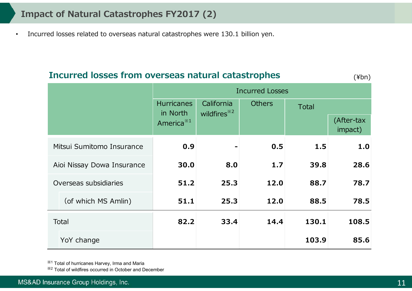### **Impact of Natural Catastrophes FY2017 (2)**

•Incurred losses related to overseas natural catastrophes were 130.1 billion yen.

### **Incurred losses from overseas natural catastrophes** (¥bn)

|                            |                     | <b>Incurred Losses</b>        |                                       |               |              |                       |  |  |
|----------------------------|---------------------|-------------------------------|---------------------------------------|---------------|--------------|-----------------------|--|--|
|                            |                     | <b>Hurricanes</b><br>in North | California<br>wildfires <sup>*2</sup> | <b>Others</b> | <b>Total</b> |                       |  |  |
|                            |                     | America <sup>*1</sup>         |                                       |               |              | (After-tax<br>impact) |  |  |
| Mitsui Sumitomo Insurance  |                     | 0.9                           |                                       | 0.5           | 1.5          | 1.0                   |  |  |
| Aioi Nissay Dowa Insurance |                     | 30.0                          | 8.0                                   | 1.7           | 39.8         | 28.6                  |  |  |
| Overseas subsidiaries      |                     | 51.2                          | 25.3                                  | 12.0          | 88.7         | 78.7                  |  |  |
|                            | (of which MS Amlin) | 51.1                          | 25.3                                  | 12.0          | 88.5         | 78.5                  |  |  |
| Total                      |                     | 82.2                          | 33.4                                  | 14.4          | 130.1        | 108.5                 |  |  |
|                            | YoY change          |                               |                                       |               | 103.9        | 85.6                  |  |  |

※1 Total of hurricanes Harvey, Irma and Maria

※2 Total of wildfires occurred in October and December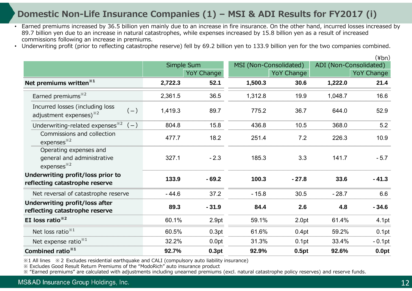### **Domestic Non-Life Insurance Companies (1) – MSI & ADI Results for FY2017 (i)**

- Earned premiums increased by 36.5 billion yen mainly due to an increase in fire insurance. On the other hand, incurred losses increased by 89.7 billion yen due to an increase in natural catastrophes, while expenses increased by 15.8 billion yen as a result of increased commissions following an increase in premiums.
- Underwriting profit (prior to reflecting catastrophe reserve) fell by 69.2 billion yen to 133.9 billion yen for the two companies combined.

|                                                                                |            |                   |                        |                   | \#DIIJ                 |                   |  |
|--------------------------------------------------------------------------------|------------|-------------------|------------------------|-------------------|------------------------|-------------------|--|
|                                                                                | Simple Sum |                   | MSI (Non-Consolidated) |                   | ADI (Non-Consolidated) |                   |  |
|                                                                                |            | <b>YoY Change</b> |                        | <b>YoY Change</b> |                        | <b>YoY Change</b> |  |
| Net premiums written <sup>*1</sup>                                             | 2,722.3    | 52.1              | 1,500.3                | 30.6              | 1,222.0                | 21.4              |  |
| Earned premiums <sup>*2</sup>                                                  | 2,361.5    | 36.5              | 1,312.8                | 19.9              | 1,048.7                | 16.6              |  |
| Incurred losses (including loss<br>$(-)$<br>adjustment expenses) $*^{2}$       | 1,419.3    | 89.7              | 775.2                  | 36.7              | 644.0                  | 52.9              |  |
| Underwriting-related expenses $e^{x^2}$ (-)                                    | 804.8      | 15.8              | 436.8                  | 10.5              | 368.0                  | 5.2               |  |
| Commissions and collection<br>expenses <sup>*2</sup>                           | 477.7      | 18.2              | 251.4                  | 7.2               | 226.3                  | 10.9              |  |
| Operating expenses and<br>general and administrative<br>expenses <sup>*2</sup> | 327.1      | $-2.3$            | 185.3                  | 3.3               | 141.7                  | $-5.7$            |  |
| Underwriting profit/loss prior to<br>reflecting catastrophe reserve            | 133.9      | $-69.2$           | 100.3                  | $-27.8$           | 33.6                   | $-41.3$           |  |
| Net reversal of catastrophe reserve                                            | $-44.6$    | 37.2              | $-15.8$                | 30.5              | $-28.7$                | 6.6               |  |
| Underwriting profit/loss after<br>reflecting catastrophe reserve               | 89.3       | $-31.9$           | 84.4                   | 2.6               | 4.8                    | $-34.6$           |  |
| EI loss ratio <sup>*2</sup>                                                    | 60.1%      | 2.9pt             | 59.1%                  | 2.0pt             | 61.4%                  | 4.1pt             |  |
| Net loss ratio $*1$                                                            | 60.5%      | 0.3pt             | 61.6%                  | 0.4pt             | 59.2%                  | 0.1pt             |  |
| Net expense ratio $*1$                                                         | 32.2%      | 0.0pt             | 31.3%                  | 0.1pt             | 33.4%                  | $-0.1$ pt         |  |
| Combined ratio <sup>*1</sup>                                                   | 92.7%      | 0.3pt             | 92.9%                  | 0.5pt             | 92.6%                  | 0.0pt             |  |

※1 All lines ※2 Excludes residential earthquake and CALI (compulsory auto liability insurance)

※ Excludes Good Result Return Premiums of the "ModoRich" auto insurance product

※ "Earned premiums" are calculated with adjustments including unearned premiums (excl. natural catastrophe policy reserves) and reserve funds.

MS&AD Insurance Group Holdings, Inc.

 $(y|_{\alpha,\alpha})$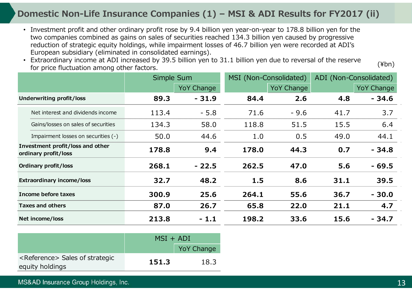### **Domestic Non-Life Insurance Companies (1) – MSI & ADI Results for FY2017 (ii)**

- Investment profit and other ordinary profit rose by 9.4 billion yen year-on-year to 178.8 billion yen for the two companies combined as gains on sales of securities reached 134.3 billion yen caused by progressive reduction of strategic equity holdings, while impairment losses of 46.7 billion yen were recorded at ADI's European subsidiary (eliminated in consolidated earnings).
- Extraordinary income at ADI increased by 39.5 billion yen to 31.1 billion yen due to reversal of the reserve for price fluctuation among other factors.

|                                                          |                                     | Simple Sum |                   | MSI (Non-Consolidated) |                   |      | ADI (Non-Consolidated) |
|----------------------------------------------------------|-------------------------------------|------------|-------------------|------------------------|-------------------|------|------------------------|
|                                                          |                                     |            | <b>YoY Change</b> |                        | <b>YoY Change</b> |      | <b>YoY Change</b>      |
| Underwriting profit/loss                                 |                                     | 89.3       | $-31.9$           | 84.4                   | 2.6               | 4.8  | $-34.6$                |
|                                                          | Net interest and dividends income   | 113.4      | $-5.8$            | 71.6                   | $-9.6$            | 41.7 | 3.7                    |
|                                                          | Gains/losses on sales of securities | 134.3      | 58.0              | 118.8                  | 51.5              | 15.5 | 6.4                    |
|                                                          | Impairment losses on securities (-) | 50.0       | 44.6              | 1.0                    | 0.5               | 49.0 | 44.1                   |
| Investment profit/loss and other<br>ordinary profit/loss |                                     | 178.8      | 9.4               | 178.0                  | 44.3              | 0.7  | $-34.8$                |
|                                                          | Ordinary profit/loss                | 268.1      | $-22.5$           | 262.5                  | 47.0              | 5.6  | $-69.5$                |
| <b>Extraordinary income/loss</b>                         |                                     | 32.7       | 48.2              | 1.5                    | 8.6               | 31.1 | 39.5                   |
| Income before taxes                                      |                                     | 300.9      | 25.6              | 264.1                  | 55.6              | 36.7 | $-30.0$                |
| <b>Taxes and others</b>                                  |                                     | 87.0       | 26.7              | 65.8                   | 22.0              | 21.1 | 4.7                    |
| Net income/loss                                          |                                     | 213.8      | $-1.1$            | 198.2                  | 33.6              | 15.6 | - 34.7                 |

|                                                                | $MSI + ADI$ |                   |  |
|----------------------------------------------------------------|-------------|-------------------|--|
|                                                                |             | <b>YoY Change</b> |  |
| <reference> Sales of strategic<br/>equity holdings</reference> | 151.3       | 18.3              |  |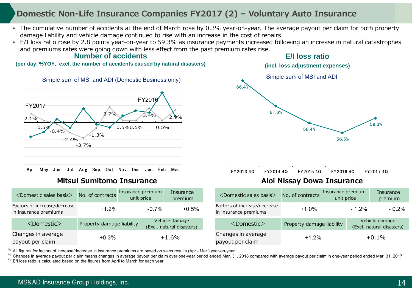### **Domestic Non-Life Insurance Companies FY2017 (2) – Voluntary Auto Insurance**

- The cumulative number of accidents at the end of March rose by 0.3% year-on-year. The average payout per claim for both property damage liability and vehicle damage continued to rise with an increase in the cost of repairs.
- **E/I loss ratio**• E/I loss ratio rose by 2.8 points year-on-year to 59.3% as insurance payments increased following an increase in natural catastrophes and premiums rates were going down with less effect from the past premium rates rise.

#### **Number of accidents**

**(per day, %YOY, excl. the number of accidents caused by natural disasters)**



|  |  | Apr. May Jun. Jul. Aug. Sep. Oct. Nov. Dec. Jan. Feb. Mar. |  |  |  |  |
|--|--|------------------------------------------------------------|--|--|--|--|
|  |  |                                                            |  |  |  |  |

#### **Mitsui Sumitomo Insurance Aioi Nissay Dowa Insurance**



FY2013 4Q FY2014 4Q FY2015 4Q FY2016 4Q FY2017 4Q

| <domestic basis="" sales=""></domestic>               | No. of contracts          | Insurance premium<br>unit price | Insurance<br>premium                        | <domestic basis="" sales=""></domestic>               | No. of contracts          | Insurance premium<br>unit price |         | Insurance<br>premium                        |
|-------------------------------------------------------|---------------------------|---------------------------------|---------------------------------------------|-------------------------------------------------------|---------------------------|---------------------------------|---------|---------------------------------------------|
| Factors of increase/decrease<br>in insurance premiums | $+1.2%$                   | $-0.7%$                         | $+0.5%$                                     | Factors of increase/decrease<br>in insurance premiums | $+1.0%$                   |                                 | $-1.2%$ | $-0.2%$                                     |
| $<$ Domestic $>$                                      | Property damage liability |                                 | Vehicle damage<br>(Excl. natural disasters) | <domestic></domestic>                                 | Property damage liability |                                 |         | Vehicle damage<br>(Excl. natural disasters) |
| Changes in average<br>payout per claim                | $+0.3%$                   |                                 | $+1.6%$                                     | Changes in average<br>payout per claim                | $+1.2%$                   |                                 |         | $+0.1%$                                     |

※ All figures for factors of increase/decrease in insurance premiums are based on sales results (Apr.- Mar.) year-on-year. ※

Changes in average payout per claim means changes in average payout per claim over one-year period ended Mar. 31, 2018 compared with average payout per claim in one-year period ended Mar. 31, 2017. ※

 $\%$  E/I loss ratio is calculated based on the figures from April to March for each year.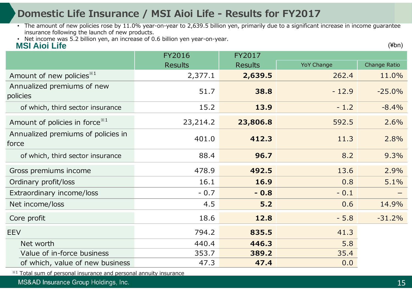# **Domestic Life Insurance / MSI Aioi Life - Results for FY2017**

- The amount of new policies rose by 11.0% year-on-year to 2,639.5 billion yen, primarily due to a significant increase in income guarantee insurance following the launch of new products.
- Net income was 5.2 billion yen, an increase of 0.6 billion yen year-on-year.

### **MSI Aioi Life**

|                                             | <b>FY2016</b>  | FY2017         |                   |              |
|---------------------------------------------|----------------|----------------|-------------------|--------------|
|                                             | <b>Results</b> | <b>Results</b> | <b>YoY Change</b> | Change Ratio |
| Amount of new policies <sup>*1</sup>        | 2,377.1        | 2,639.5        | 262.4             | 11.0%        |
| Annualized premiums of new<br>policies      | 51.7           | 38.8           | $-12.9$           | $-25.0%$     |
| of which, third sector insurance            | 15.2           | 13.9           | $-1.2$            | $-8.4%$      |
| Amount of policies in force <sup>**1</sup>  | 23,214.2       | 23,806.8       | 592.5             | 2.6%         |
| Annualized premiums of policies in<br>force | 401.0          | 412.3          | 11.3              | 2.8%         |
| of which, third sector insurance            | 88.4           | 96.7           | 8.2               | 9.3%         |
| Gross premiums income                       | 478.9          | 492.5          | 13.6              | 2.9%         |
| Ordinary profit/loss                        | 16.1           | 16.9           | 0.8               | 5.1%         |
| Extraordinary income/loss                   | $-0.7$         | $-0.8$         | $-0.1$            |              |
| Net income/loss                             | 4.5            | 5.2            | 0.6               | 14.9%        |
| Core profit                                 | 18.6           | 12.8           | $-5.8$            | $-31.2%$     |
| <b>EEV</b>                                  | 794.2          | 835.5          | 41.3              |              |
| Net worth                                   | 440.4          | 446.3          | 5.8               |              |
| Value of in-force business                  | 353.7          | 389.2          | 35.4              |              |
| of which, value of new business             | 47.3           | 47.4           | 0.0               |              |

※1 Total sum of personal insurance and personal annuity insurance

MS&AD Insurance Group Holdings, Inc.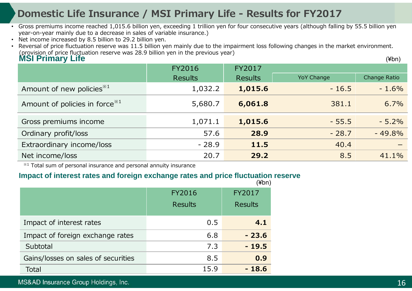# **Domestic Life Insurance / MSI Primary Life - Results for FY2017**

- Gross premiums income reached 1,015.6 billion yen, exceeding 1 trillion yen for four consecutive years (although falling by 55.5 billion yen year-on-year mainly due to a decrease in sales of variable insurance.)
- Net income increased by 8.5 billion to 29.2 billion yen.

**MSI Primary Life** (¥bn) • Reversal of price fluctuation reserve was 11.5 billion yen mainly due to the impairment loss following changes in the market environment. (provision of price fluctuation reserve was 28.9 billion yen in the previous year)

|                                            | <b>FY2016</b>  | FY2017         |                   |              |
|--------------------------------------------|----------------|----------------|-------------------|--------------|
|                                            | <b>Results</b> | <b>Results</b> | <b>YoY Change</b> | Change Ratio |
| Amount of new policies <sup>*1</sup>       | 1,032.2        | 1,015.6        | $-16.5$           | $-1.6%$      |
| Amount of policies in force <sup>**1</sup> | 5,680.7        | 6,061.8        | 381.1             | 6.7%         |
| Gross premiums income                      | 1,071.1        | 1,015.6        | $-55.5$           | $-5.2%$      |
| Ordinary profit/loss                       | 57.6           | 28.9           | $-28.7$           | $-49.8%$     |
| Extraordinary income/loss                  | $-28.9$        | 11.5           | 40.4              |              |
| Net income/loss                            | 20.7           | 29.2           | 8.5               | 41.1%        |

 $*1$  Total sum of personal insurance and personal annuity insurance

#### **Impact of interest rates and foreign exchange rates and price fluctuation reserve** (¥bn)

|                                     | <b>FY2016</b>  | FY2017         |
|-------------------------------------|----------------|----------------|
|                                     | <b>Results</b> | <b>Results</b> |
| Impact of interest rates            | 0.5            | 4.1            |
| Impact of foreign exchange rates    | 6.8            | $-23.6$        |
| Subtotal                            | 7.3            | $-19.5$        |
| Gains/losses on sales of securities | 8.5            | 0.9            |
| Total                               | 15.9           | - 18.6         |

#### MS&AD Insurance Group Holdings, Inc.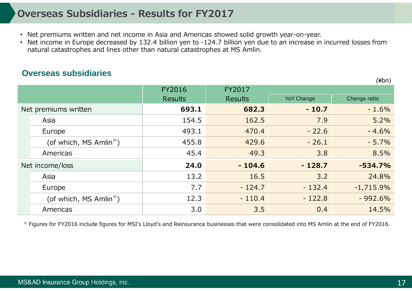# **Overseas Subsidiaries - Results for FY2017**

- Net premiums written and net income in Asia and Americas showed solid growth year-on-year.
- Net income in Europe decreased by 132.4 billion yen to -124.7 billion yen due to an increase in incurred losses from natural catastrophes and lines other than natural catastrophes at MS Amlin.

### **Overseas subsidiaries**

|                                     | <b>FY2016</b>  | FY2017         |                   |              |
|-------------------------------------|----------------|----------------|-------------------|--------------|
|                                     | <b>Results</b> | <b>Results</b> | <b>YoY Change</b> | Change ratio |
| Net premiums written                | 693.1          | 682.3          | $-10.7$           | $-1.6%$      |
| Asia                                | 154.5          | 162.5          | 7.9               | 5.2%         |
| Europe                              | 493.1          | 470.4          | $-22.6$           | $-4.6%$      |
| (of which, MS Amlin <sup>**</sup> ) | 455.8          | 429.6          | $-26.1$           | $-5.7%$      |
| Americas                            | 45.4           | 49.3           | 3.8               | 8.5%         |
| Net income/loss                     | 24.0           | $-104.6$       | $-128.7$          | $-534.7%$    |
| Asia                                | 13.2           | 16.5           | 3.2               | 24.8%        |
| Europe                              | 7.7            | $-124.7$       | $-132.4$          | $-1,715.9%$  |
| (of which, MS Amlin <sup>*</sup> )  | 12.3           | $-110.4$       | $-122.8$          | $-992.6%$    |
| Americas                            | 3.0            | 3.5            | 0.4               | 14.5%        |

※ Figures for FY2016 include figures for MSI's Lloyd's and Reinsurance businesses that were consolidated into MS Amlin at the end of FY2016.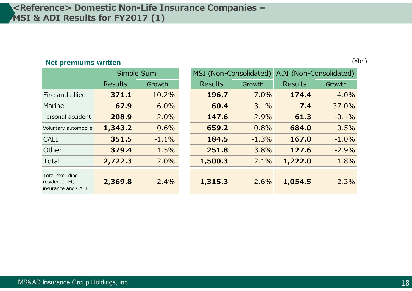### **<Reference> Domestic Non-Life Insurance Companies – MSI & ADI Results for FY2017 (1)**

### **Net premiums written** (¥bn)

**Results**  GrowthFire and alliedMarine **67.9** 6.0% **60.4** 3.1%Personal accidentCALI **351.5** -1.1% **184.5** -1.3%**Other** TotalTotal excluding residential EQ insurance and CALI

 Results Growth Results Growth **371.1** 10.2% **196.7** 7.0% **174.4** 14.0% **7.4** 37.0% **208.9** 2.0% **147.6** 2.9% **61.3** -0.1% Voluntary automobile **1,343.2** 0.6% **659.2** 0.8% **684.0** 0.5% **167.0** -1.0% **379.4** 1.5% **251.8** 3.8% **127.6** -2.9% **2,722.3** 2.0% **1,500.3** 2.1% **1,222.0** 1.8% **2,369.8** 2.4% **1,315.3** 2.6% **1,054.5** 2.3% Simple Sum MSI (Non-Consolidated) ADI (Non-Consolidated)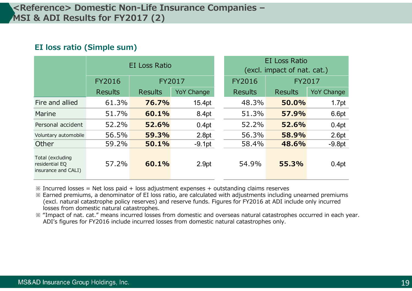### **EI loss ratio (Simple sum)**

|                                                           | <b>EI Loss Ratio</b> |                |                   |  | <b>EI Loss Ratio</b><br>(excl. impact of nat. cat.) |                |                   |  |
|-----------------------------------------------------------|----------------------|----------------|-------------------|--|-----------------------------------------------------|----------------|-------------------|--|
|                                                           | <b>FY2016</b>        | FY2017         |                   |  | <b>FY2016</b>                                       | FY2017         |                   |  |
|                                                           | <b>Results</b>       | <b>Results</b> | <b>YoY Change</b> |  | <b>Results</b>                                      | <b>Results</b> | <b>YoY Change</b> |  |
| Fire and allied                                           | 61.3%                | 76.7%          | 15.4pt            |  | 48.3%                                               | 50.0%          | 1.7pt             |  |
| Marine                                                    | 51.7%                | 60.1%          | 8.4pt             |  | 51.3%                                               | 57.9%          | 6.6pt             |  |
| Personal accident                                         | 52.2%                | 52.6%          | 0.4pt             |  | 52.2%                                               | 52.6%          | 0.4pt             |  |
| Voluntary automobile                                      | 56.5%                | 59.3%          | 2.8pt             |  | 56.3%                                               | 58.9%          | 2.6pt             |  |
| Other                                                     | 59.2%                | 50.1%          | $-9.1pt$          |  | 58.4%                                               | 48.6%          | $-9.8pt$          |  |
| Total (excluding<br>residential EQ<br>insurance and CALI) | 57.2%                | 60.1%          | 2.9pt             |  | 54.9%                                               | 55.3%          | 0.4pt             |  |

 $\frac{1}{2}$  Incurred losses = Net loss paid + loss adjustment expenses + outstanding claims reserves

※ Earned premiums, a denominator of EI loss ratio, are calculated with adjustments including unearned premiums (excl. natural catastrophe policy reserves) and reserve funds. Figures for FY2016 at ADI include only incurred losses from domestic natural catastrophes.

※ "Impact of nat. cat." means incurred losses from domestic and overseas natural catastrophes occurred in each year. ADI's figures for FY2016 include incurred losses from domestic natural catastrophes only.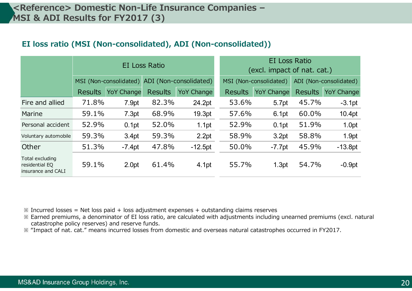### **<Reference> Domestic Non-Life Insurance Companies – MSI & ADI Results for FY2017 (3)**

#### **EI loss ratio (MSI (Non-consolidated), ADI (Non-consolidated))**

|                                                         | EI Loss Ratio  |                        |                |                        | <b>EI Loss Ratio</b><br>(excl. impact of nat. cat.) |                   |                |                        |
|---------------------------------------------------------|----------------|------------------------|----------------|------------------------|-----------------------------------------------------|-------------------|----------------|------------------------|
|                                                         |                | MSI (Non-consolidated) |                | ADI (Non-consolidated) | MSI (Non-consolidated)                              |                   |                | ADI (Non-consolidated) |
|                                                         | <b>Results</b> | <b>YoY Change</b>      | <b>Results</b> | YoY Change             | <b>Results</b>                                      | <b>YoY Change</b> | <b>Results</b> | <b>YoY Change</b>      |
| Fire and allied                                         | 71.8%          | 7.9pt                  | 82.3%          | 24.2pt                 | 53.6%                                               | 5.7pt             | 45.7%          | $-3.1pt$               |
| Marine                                                  | 59.1%          | 7.3pt                  | 68.9%          | 19.3pt                 | 57.6%                                               | 6.1pt             | 60.0%          | 10.4pt                 |
| Personal accident                                       | 52.9%          | 0.1pt                  | 52.0%          | 1.1pt                  | 52.9%                                               | 0.1 <sub>pt</sub> | 51.9%          | 1.0pt                  |
| Voluntary automobile                                    | 59.3%          | 3.4pt                  | 59.3%          | 2.2pt                  | 58.9%                                               | 3.2pt             | 58.8%          | 1.9pt                  |
| Other                                                   | 51.3%          | $-7.4pt$               | 47.8%          | $-12.5pt$              | 50.0%                                               | $-7.7$ pt         | 45.9%          | $-13.8pt$              |
| Total excluding<br>residential EQ<br>insurance and CALI | 59.1%          | 2.0pt                  | 61.4%          | 4.1pt                  | 55.7%                                               | 1.3pt             | 54.7%          | $-0.9pt$               |

 $\frac{1}{2}$  Incurred losses = Net loss paid + loss adjustment expenses + outstanding claims reserves

※ Earned premiums, a denominator of EI loss ratio, are calculated with adjustments including unearned premiums (excl. natural catastrophe policy reserves) and reserve funds.

※ "Impact of nat. cat." means incurred losses from domestic and overseas natural catastrophes occurred in FY2017.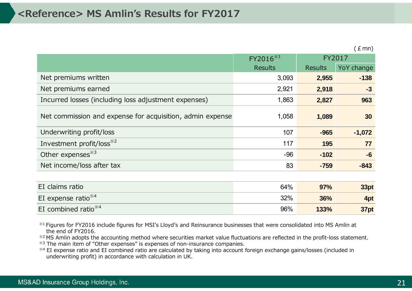|                                                           | $FY2016^{*1}$  |                | FY2017     |
|-----------------------------------------------------------|----------------|----------------|------------|
|                                                           | <b>Results</b> | <b>Results</b> | YoY change |
| Net premiums written                                      | 3,093          | 2,955          | $-138$     |
| Net premiums earned                                       | 2,921          | 2,918          | $-3$       |
| Incurred losses (including loss adjustment expenses)      | 1,863          | 2,827          | 963        |
| Net commission and expense for acquisition, admin expense | 1,058          | 1,089          | 30         |
| Underwriting profit/loss                                  | 107            | $-965$         | $-1,072$   |
| Investment profit/loss <sup>*2</sup>                      | 117            | 195            | 77         |
| Other expenses <sup>33</sup>                              | $-96$          | $-102$         | $-6$       |
| Net income/loss after tax                                 | 83             | $-759$         | $-843$     |
|                                                           |                |                |            |

| EI claims ratio        | 64% | 97%  | 33pt |
|------------------------|-----|------|------|
| EI expense ratio $*4$  | 32% | 36%  | 4pt  |
| EI combined ratio $*4$ | 96% | 133% | 37pt |

※1 Figures for FY2016 include figures for MSI's Lloyd's and Reinsurance businesses that were consolidated into MS Amlin at the end of FY2016.

\*<sup>2</sup> MS Amlin adopts the accounting method where securities market value fluctuations are reflected in the profit-loss statement.

 $*3$  The main item of "Other expenses" is expenses of non-insurance companies.

※4 EI expense ratio and EI combined ratio are calculated by taking into account foreign exchange gains/losses (included in underwriting profit) in accordance with calculation in UK.

 $(Emn)$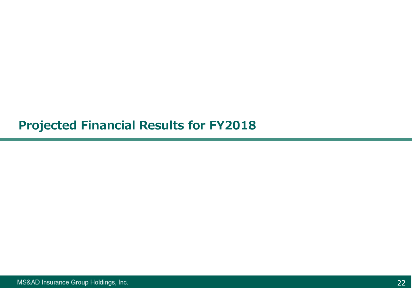# **Projected Financial Results for FY2018**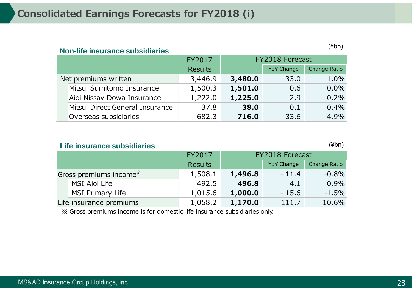**Non-life insurance subsidiaries** 

#### (¥bn)

|  |                                 | FY2017         |         | FY2018 Forecast   |              |
|--|---------------------------------|----------------|---------|-------------------|--------------|
|  |                                 | <b>Results</b> |         | <b>YoY Change</b> | Change Ratio |
|  | Net premiums written            | 3,446.9        | 3,480.0 | 33.0              | 1.0%         |
|  | Mitsui Sumitomo Insurance       | 1,500.3        | 1,501.0 | 0.6               | $0.0\%$      |
|  | Aioi Nissay Dowa Insurance      | 1,222.0        | 1,225.0 | 2.9               | 0.2%         |
|  | Mitsui Direct General Insurance | 37.8           | 38.0    | 0.1               | $0.4\%$      |
|  | Overseas subsidiaries           | 682.3          | 716.0   | 33.6              | 4.9%         |

#### **Life insurance subsidiaries**

(¥bn)

|                                    |                         | FY2017         | <b>FY2018 Forecast</b> |                   |              |  |
|------------------------------------|-------------------------|----------------|------------------------|-------------------|--------------|--|
|                                    |                         | <b>Results</b> |                        | <b>YoY Change</b> | Change Ratio |  |
| Gross premiums income <sup>*</sup> |                         | 1,508.1        | 1,496.8                | $-11.4$           | $-0.8\%$     |  |
|                                    | MSI Aioi Life           | 492.5          | 496.8                  | 4.1               | $0.9\%$      |  |
|                                    | <b>MSI Primary Life</b> | 1,015.6        | 1,000.0                | $-15.6$           | $-1.5\%$     |  |
|                                    | Life insurance premiums | 1,058.2        | 1,170.0                | 111.7             | 10.6%        |  |

※ Gross premiums income is for domestic life insurance subsidiaries only.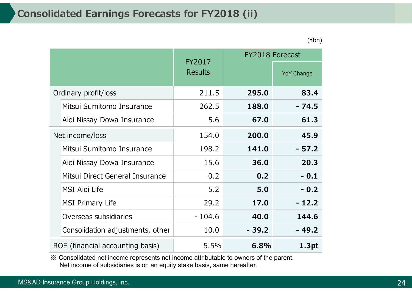### **Consolidated Earnings Forecasts for FY2018 (ii)**

YoY Change Ordinary profit/loss 211.5 **295.0 83.4**  Mitsui Sumitomo Insurance 262.5 **188.0 - 74.5**  Aioi Nissay Dowa Insurance 5.6 **67.0 61.3**  Net income/loss 154.0 **200.0 45.9**  Mitsui Sumitomo Insurance 198.2 **141.0 - 57.2**  Aioi Nissay Dowa Insurance 15.6 **36.0 20.3**  Mitsui Direct General Insurance  $\begin{array}{ccc} \sim & 0.2 & \sim & 0.2 \end{array}$  **0.2 - 0.1** MSI Aioi Life 5.2 **5.0 - 0.2**  MSI Primary Life 29.2 **17.0 - 12.2**  Overseas subsidiaries - 104.6 **40.0 144.6**  Consolidation adjustments, other 10.0 **- 39.2 - 49.2**  ROE (financial accounting basis) 5.5% **6.8% 1.3pt**  FY2018 ForecastFY2017**Results** 

※ Consolidated net income represents net income attributable to owners of the parent. Net income of subsidiaries is on an equity stake basis, same hereafter.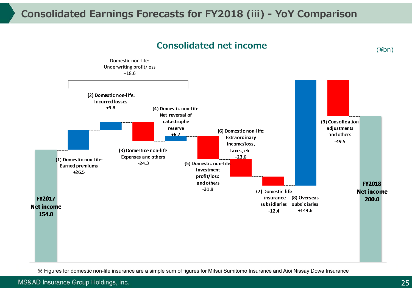# **Consolidated Earnings Forecasts for FY2018 (iii) - YoY Compariso n**



**Consolidated net income**

※ Figures for domestic non-life insurance are a simple sum of figures for Mitsui Sumitomo Insurance and Aioi Nissay Dowa Insuranc e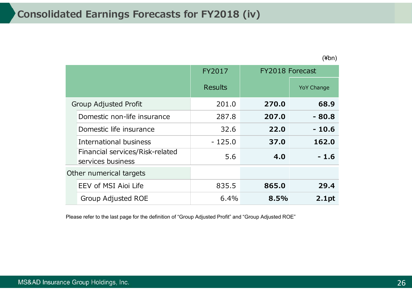(¥bn)

|                                                      | FY2017         | FY2018 Forecast |                   |
|------------------------------------------------------|----------------|-----------------|-------------------|
|                                                      | <b>Results</b> |                 | <b>YoY Change</b> |
| <b>Group Adjusted Profit</b>                         | 201.0          | 270.0           | 68.9              |
| Domestic non-life insurance                          | 287.8          | 207.0           | $-80.8$           |
| Domestic life insurance                              | 32.6           | 22.0            | $-10.6$           |
| International business                               | $-125.0$       | 37.0            | 162.0             |
| Financial services/Risk-related<br>services business | 5.6            | 4.0             | $-1.6$            |
| Other numerical targets                              |                |                 |                   |
| EEV of MSI Aioi Life                                 | 835.5          | 865.0           | 29.4              |
| Group Adjusted ROE                                   | 6.4%           | 8.5%            | 2.1pt             |

Please refer to the last page for the definition of "Group Adjusted Profit" and "Group Adjusted ROE"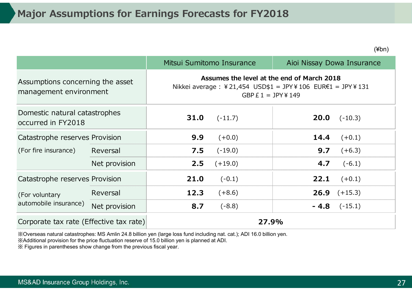(¥bn)

|                                                            |               |                                                                                                                                  | Mitsui Sumitomo Insurance | Aioi Nissay Dowa Insurance |                  |  |
|------------------------------------------------------------|---------------|----------------------------------------------------------------------------------------------------------------------------------|---------------------------|----------------------------|------------------|--|
| Assumptions concerning the asset<br>management environment |               | Assumes the level at the end of March 2018<br>Nikkei average : ¥21,454 USD\$1 = JPY¥106 EUR€1 = JPY¥131<br>GBP $E 1 = JPY$ ¥ 149 |                           |                            |                  |  |
| Domestic natural catastrophes<br>occurred in FY2018        |               | 31.0                                                                                                                             | $(-11.7)$                 | 20.0                       | $(-10.3)$        |  |
| Catastrophe reserves Provision                             |               | 9.9                                                                                                                              | $(+0.0)$                  | 14.4                       | $(+0.1)$         |  |
| (For fire insurance)                                       | Reversal      | 7.5                                                                                                                              | $(-19.0)$                 | 9.7                        | $(+6.3)$         |  |
|                                                            | Net provision | 2.5                                                                                                                              | $(+19.0)$                 | 4.7                        | $(-6.1)$         |  |
| Catastrophe reserves Provision                             |               | 21.0                                                                                                                             | $(-0.1)$                  | 22.1                       | $(+0.1)$         |  |
| (For voluntary                                             | Reversal      | 12.3                                                                                                                             | $(+8.6)$                  | 26.9                       | $(+15.3)$        |  |
| automobile insurance)                                      | Net provision | 8.7                                                                                                                              | $(-8.8)$                  |                            | $-4.8$ $(-15.1)$ |  |
| Corporate tax rate (Effective tax rate)                    |               |                                                                                                                                  | 27.9%                     |                            |                  |  |

※Overseas natural catastrophes: MS Amlin 24.8 billion yen (large loss fund including nat. cat.); ADI 16.0 billion yen.

※Additional provision for the price fluctuation reserve of 15.0 billion yen is planned at ADI.

※ Figures in parentheses show change from the previous fiscal year.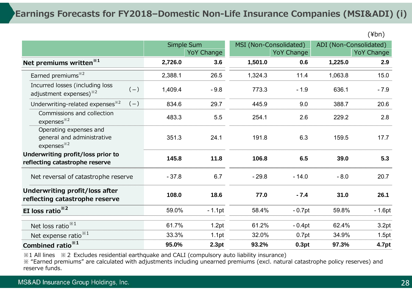### **Earnings Forecasts for FY2018–Domestic Non-Life Insurance Companies (MSI&ADI) (i)**

|                                                                                |         |                   |         |                        |                        | $\cdots$          |
|--------------------------------------------------------------------------------|---------|-------------------|---------|------------------------|------------------------|-------------------|
|                                                                                |         | Simple Sum        |         | MSI (Non-Consolidated) | ADI (Non-Consolidated) |                   |
|                                                                                |         | <b>YoY Change</b> |         | <b>YoY Change</b>      |                        | <b>YoY Change</b> |
| Net premiums written <sup>*1</sup>                                             | 2,726.0 | 3.6               | 1,501.0 | 0.6                    | 1,225.0                | 2.9               |
| Earned premiums <sup>*2</sup>                                                  | 2,388.1 | 26.5              | 1,324.3 | 11.4                   | 1,063.8                | 15.0              |
| Incurred losses (including loss<br>$(-)$<br>adjustment expenses) $*^{2}$       | 1,409.4 | $-9.8$            | 773.3   | $-1.9$                 | 636.1                  | $-7.9$            |
| Underwriting-related expenses <sup>*2</sup><br>$(-)$                           | 834.6   | 29.7              | 445.9   | 9.0                    | 388.7                  | 20.6              |
| Commissions and collection<br>expenses <sup>32</sup>                           | 483.3   | 5.5               | 254.1   | 2.6                    | 229.2                  | 2.8               |
| Operating expenses and<br>general and administrative<br>expenses <sup>*2</sup> | 351.3   | 24.1              | 191.8   | 6.3                    | 159.5                  | 17.7              |
| Underwriting profit/loss prior to<br>reflecting catastrophe reserve            | 145.8   | 11.8              | 106.8   | 6.5                    | 39.0                   | 5.3               |
| Net reversal of catastrophe reserve                                            | $-37.8$ | 6.7               | $-29.8$ | $-14.0$                | $-8.0$                 | 20.7              |
| Underwriting profit/loss after<br>reflecting catastrophe reserve               | 108.0   | 18.6              | 77.0    | $-7.4$                 | 31.0                   | 26.1              |
| EI loss ratio $*^{2}$                                                          | 59.0%   | $-1.1$ pt         | 58.4%   | $-0.7$ pt              | 59.8%                  | $-1.6pt$          |
| Net loss ratio <sup>**1</sup>                                                  | 61.7%   | 1.2pt             | 61.2%   | $-0.4pt$               | 62.4%                  | 3.2pt             |
| Net expense ratio $*1$                                                         | 33.3%   | 1.1pt             | 32.0%   | 0.7pt                  | 34.9%                  | 1.5pt             |
| Combined ratio <sup>*1</sup>                                                   | 95.0%   | 2.3pt             | 93.2%   | 0.3pt                  | 97.3%                  | 4.7pt             |

※1 All lines ※2 Excludes residential earthquake and CALI (compulsory auto liability insurance)

※ "Earned premiums" are calculated with adjustments including unearned premiums (excl. natural catastrophe policy reserves) and reserve funds.

 $(Y \night$ hn)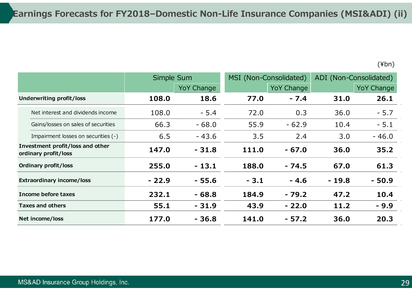|                                                          |                                     | Simple Sum |                   |        | MSI (Non-Consolidated) |         | ADI (Non-Consolidated) |
|----------------------------------------------------------|-------------------------------------|------------|-------------------|--------|------------------------|---------|------------------------|
|                                                          |                                     |            | <b>YoY Change</b> |        | <b>YoY Change</b>      |         | <b>YoY Change</b>      |
|                                                          | Underwriting profit/loss            | 108.0      | 18.6              | 77.0   | $-7.4$                 | 31.0    | 26.1                   |
|                                                          | Net interest and dividends income   | 108.0      | $-5.4$            | 72.0   | 0.3                    | 36.0    | $-5.7$                 |
|                                                          | Gains/losses on sales of securities | 66.3       | $-68.0$           | 55.9   | $-62.9$                | 10.4    | $-5.1$                 |
|                                                          | Impairment losses on securities (-) | 6.5        | $-43.6$           | 3.5    | 2.4                    | 3.0     | $-46.0$                |
| Investment profit/loss and other<br>ordinary profit/loss |                                     | 147.0      | $-31.8$           | 111.0  | $-67.0$                | 36.0    | 35.2                   |
|                                                          | <b>Ordinary profit/loss</b>         | 255.0      | $-13.1$           | 188.0  | $-74.5$                | 67.0    | 61.3                   |
|                                                          | <b>Extraordinary income/loss</b>    | $-22.9$    | $-55.6$           | $-3.1$ | $-4.6$                 | $-19.8$ | $-50.9$                |
|                                                          | Income before taxes                 | 232.1      | $-68.8$           | 184.9  | $-79.2$                | 47.2    | 10.4                   |
|                                                          | <b>Taxes and others</b>             | 55.1       | $-31.9$           | 43.9   | $-22.0$                | 11.2    | $-9.9$                 |
|                                                          | Net income/loss                     | 177.0      | $-36.8$           | 141.0  | $-57.2$                | 36.0    | 20.3                   |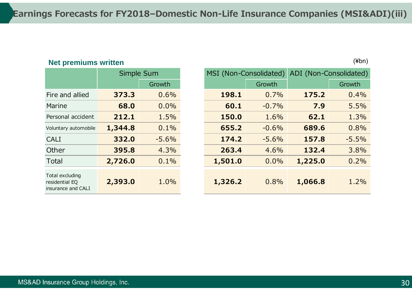### **Net premiums written** (¥bn)

|                                                         | Simple Sum |         |  |
|---------------------------------------------------------|------------|---------|--|
|                                                         |            | Growth  |  |
| Fire and allied                                         | 373.3      | 0.6%    |  |
| Marine                                                  | 68.0       | $0.0\%$ |  |
| Personal accident                                       | 212.1      | 1.5%    |  |
| Voluntary automobile                                    | 1,344.8    | $0.1\%$ |  |
| <b>CALI</b>                                             | 332.0      | $-5.6%$ |  |
| Other                                                   | 395.8      | 4.3%    |  |
| Total                                                   | 2,726.0    | $0.1\%$ |  |
| Total excluding<br>residential EQ<br>insurance and CALI | 2,393.0    | 1.0%    |  |

|                                                         | Simple Sum |         | MSI (Non-Consolidated) |         | ADI (Non-Consolidated) |         |
|---------------------------------------------------------|------------|---------|------------------------|---------|------------------------|---------|
|                                                         |            | Growth  |                        | Growth  |                        | Growth  |
| Fire and allied                                         | 373.3      | 0.6%    | 198.1                  | 0.7%    | 175.2                  | 0.4%    |
| Marine                                                  | 68.0       | 0.0%    | 60.1                   | $-0.7%$ | 7.9                    | 5.5%    |
| Personal accident                                       | 212.1      | 1.5%    | 150.0                  | 1.6%    | 62.1                   | 1.3%    |
| Voluntary automobile                                    | 1,344.8    | 0.1%    | 655.2                  | $-0.6%$ | 689.6                  | 0.8%    |
| <b>CALI</b>                                             | 332.0      | $-5.6%$ | 174.2                  | $-5.6%$ | 157.8                  | $-5.5%$ |
| Other                                                   | 395.8      | 4.3%    | 263.4                  | 4.6%    | 132.4                  | 3.8%    |
| Total                                                   | 2,726.0    | 0.1%    | 1,501.0                | 0.0%    | 1,225.0                | 0.2%    |
| Total excluding<br>residential EQ<br>insurance and CALI | 2,393.0    | 1.0%    | 1,326.2                | 0.8%    | 1,066.8                | 1.2%    |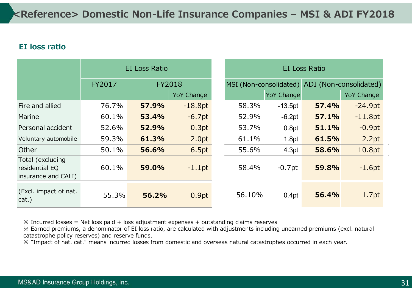### **EI loss ratio**

|                                                           | EI Loss Ratio |       |                   | EI Loss Ratio          |                   |       |                        |
|-----------------------------------------------------------|---------------|-------|-------------------|------------------------|-------------------|-------|------------------------|
|                                                           | FY2017        |       | <b>FY2018</b>     | MSI (Non-consolidated) |                   |       | ADI (Non-consolidated) |
|                                                           |               |       | <b>YoY Change</b> |                        | <b>YoY Change</b> |       | <b>YoY Change</b>      |
| Fire and allied                                           | 76.7%         | 57.9% | $-18.8pt$         | 58.3%                  | $-13.5pt$         | 57.4% | $-24.9pt$              |
| Marine                                                    | 60.1%         | 53.4% | $-6.7pt$          | 52.9%                  | $-6.2pt$          | 57.1% | $-11.8pt$              |
| Personal accident                                         | 52.6%         | 52.9% | 0.3pt             | 53.7%                  | 0.8pt             | 51.1% | $-0.9pt$               |
| Voluntary automobile                                      | 59.3%         | 61.3% | 2.0pt             | 61.1%                  | 1.8pt             | 61.5% | 2.2pt                  |
| Other                                                     | 50.1%         | 56.6% | 6.5pt             | 55.6%                  | 4.3pt             | 58.6% | 10.8pt                 |
| Total (excluding<br>residential EQ<br>insurance and CALI) | 60.1%         | 59.0% | $-1.1$ pt         | 58.4%                  | $-0.7$ pt         | 59.8% | $-1.6pt$               |
| (Excl. impact of nat.<br>cat.)                            | 55.3%         | 56.2% | 0.9pt             | 56.10%                 | 0.4pt             | 56.4% | 1.7pt                  |

 $\frac{1}{2}$  Incurred losses = Net loss paid + loss adjustment expenses + outstanding claims reserves

※ Earned premiums, a denominator of EI loss ratio, are calculated with adjustments including unearned premiums (excl. natural catastrophe policy reserves) and reserve funds.

※ "Impact of nat. cat." means incurred losses from domestic and overseas natural catastrophes occurred in each year.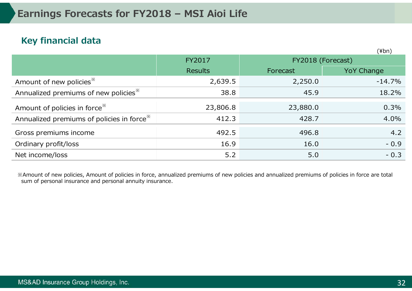### **Key financial data**

|                                                       |                |          | $(\frac{4}{2}$ bn) |
|-------------------------------------------------------|----------------|----------|--------------------|
|                                                       | <b>FY2017</b>  |          | FY2018 (Forecast)  |
|                                                       | <b>Results</b> | Forecast | <b>YoY Change</b>  |
| Amount of new policies <sup>*</sup>                   | 2,639.5        | 2,250.0  | $-14.7%$           |
| Annualized premiums of new policies <sup>38</sup>     | 38.8           | 45.9     | 18.2%              |
| Amount of policies in force <sup>**</sup>             | 23,806.8       | 23,880.0 | 0.3%               |
| Annualized premiums of policies in force <sup>*</sup> | 412.3          | 428.7    | 4.0%               |
| Gross premiums income                                 | 492.5          | 496.8    | 4.2                |
| Ordinary profit/loss                                  | 16.9           | 16.0     | $-0.9$             |
| Net income/loss                                       | 5.2            | 5.0      | $-0.3$             |

※Amount of new policies, Amount of policies in force, annualized premiums of new policies and annualized premiums of policies in force are total sum of personal insurance and personal annuity insurance.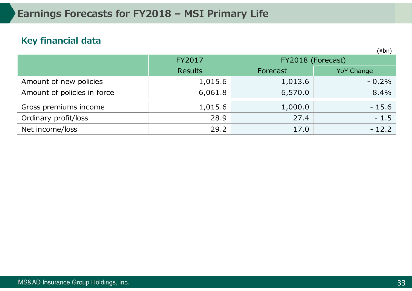### **Key financial data**

|                             |                |                   | $\cdots$          |  |
|-----------------------------|----------------|-------------------|-------------------|--|
|                             | FY2017         | FY2018 (Forecast) |                   |  |
|                             | <b>Results</b> | Forecast          | <b>YoY Change</b> |  |
| Amount of new policies      | 1,015.6        | 1,013.6           | $-0.2\%$          |  |
| Amount of policies in force | 6,061.8        | 6,570.0           | 8.4%              |  |
| Gross premiums income       | 1,015.6        | 1,000.0           | $-15.6$           |  |
| Ordinary profit/loss        | 28.9           | 27.4              | $-1.5$            |  |
| Net income/loss             | 29.2           | 17.0              | $-12.2$           |  |

 $(Y$ hn)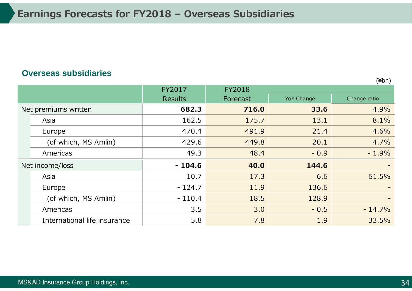#### **Overseas subsidiaries**

FY2017 FY2018 Results **Forecast** YoY Change Change ratio Net premiums written **1998 682.3 716.0 33.6 4.9%** Asia 162.5 162.5 175.7 13.1 8.1% Europe 470.4 491.9 21.4 4.6% (of which, MS Amlin)  $429.6$   $449.8$   $20.1$   $4.7\%$ Americas 49.3 48.4 - 0.9 - 1.9% Net income/loss **144.6 - 104.6 40.0 144.6** Asia 10.7 10.7 17.3 6.6 61.5% Europe - 124.7 11.9 136.6 - (of which, MS Amlin)  $\vert$  - 110.4  $\vert$  18.5 128.9 Americas 3.5 3.0 - 0.5 - 14.7% International life insurance 1 1.8 1.9 33.5%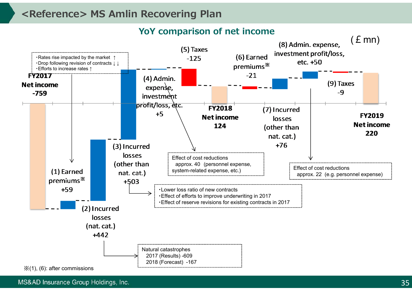### **<Reference> MS Amlin Recovering Plan**

**YoY comparison of net income**



MS&AD Insurance Group Holdings, Inc.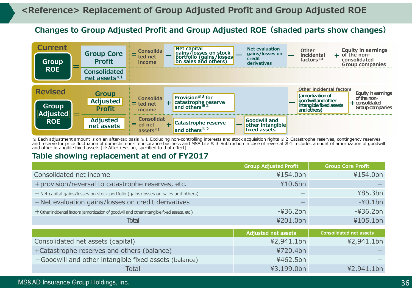### **Changes to Group Adjusted Profit and Group Adjusted ROE(shaded parts show changes)**



 $\%$  Each adjustment amount is on an after-tax basis  $\%$  1 Excluding non-controlling interests and stock acquisition rights  $\%$  2 Catastrophe reserves, contingency reserves and reserve for price fluctuation of domestic non-life insurance business and MSA Life ※3 Subtraction in case of reversal ※4 Includes amount of amortization of goodwill and other intangible fixed assets ( $\Rightarrow$  After revision, specified to that effect)

#### **Table showing replacement at end of FY2017**

|                                                                                                 | <b>Group Adjusted Profit</b> | <b>Group Core Profit</b>       |
|-------------------------------------------------------------------------------------------------|------------------------------|--------------------------------|
| Consolidated net income                                                                         | ¥154.0bn                     | ¥154.0bn                       |
| + provision/reversal to catastrophe reserves, etc.                                              | ¥10.6bn                      |                                |
| - Net capital gains/losses on stock portfolio (gains/losses on sales and others)                |                              | ¥85.3bn                        |
| - Net evaluation gains/losses on credit derivatives                                             |                              | $-40.1$ bn                     |
| $+$ Other incidental factors (amortization of goodwill and other intangible fixed assets, etc.) | $-436.2bn$                   | $-436.2bn$                     |
| <b>Total</b>                                                                                    | ¥201.0bn                     | ¥105.1bn                       |
|                                                                                                 |                              |                                |
|                                                                                                 | <b>Adjusted net assets</b>   | <b>Consolidated net assets</b> |
| Consolidated net assets (capital)                                                               | ¥2,941.1bn                   | ¥2,941.1bn                     |
| +Catastrophe reserves and others (balance)                                                      | ¥720.4bn                     |                                |
| -Goodwill and other intangible fixed assets (balance)                                           | ¥462.5bn                     |                                |
| Total                                                                                           | ¥3,199.0bn                   | ¥2,941.1bn                     |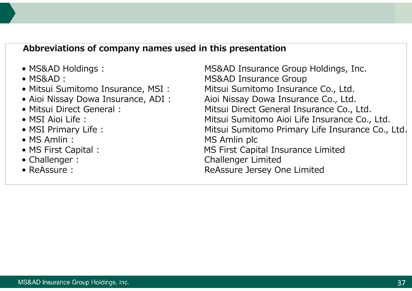### **Abbreviations of company names used in this presentation**

- 
- 
- 
- 
- 
- 
- 
- 
- 
- 
- 

• MS&AD Holdings : MS&AD Insurance Group Holdings, Inc. • MS&AD: MS&AD Insurance Group • Mitsui Sumitomo Insurance, MSI : Mitsui Sumitomo Insurance Co., Ltd. • Aioi Nissay Dowa Insurance, ADI: Aioi Nissay Dowa Insurance Co., Ltd. • Mitsui Direct General : Mitsui Direct General Insurance Co., Ltd. • MSI Aioi Life : **Mitsui Sumitomo Aioi Life Insurance Co.**, Ltd. • MSI Primary Life : Mitsui Sumitomo Primary Life Insurance Co., Ltd. • MS Amlin : MS Amlin plc • MS First Capital : MS First Capital Insurance Limited • Challenger : Challenger Limited • ReAssure : The Reassure Jersey One Limited